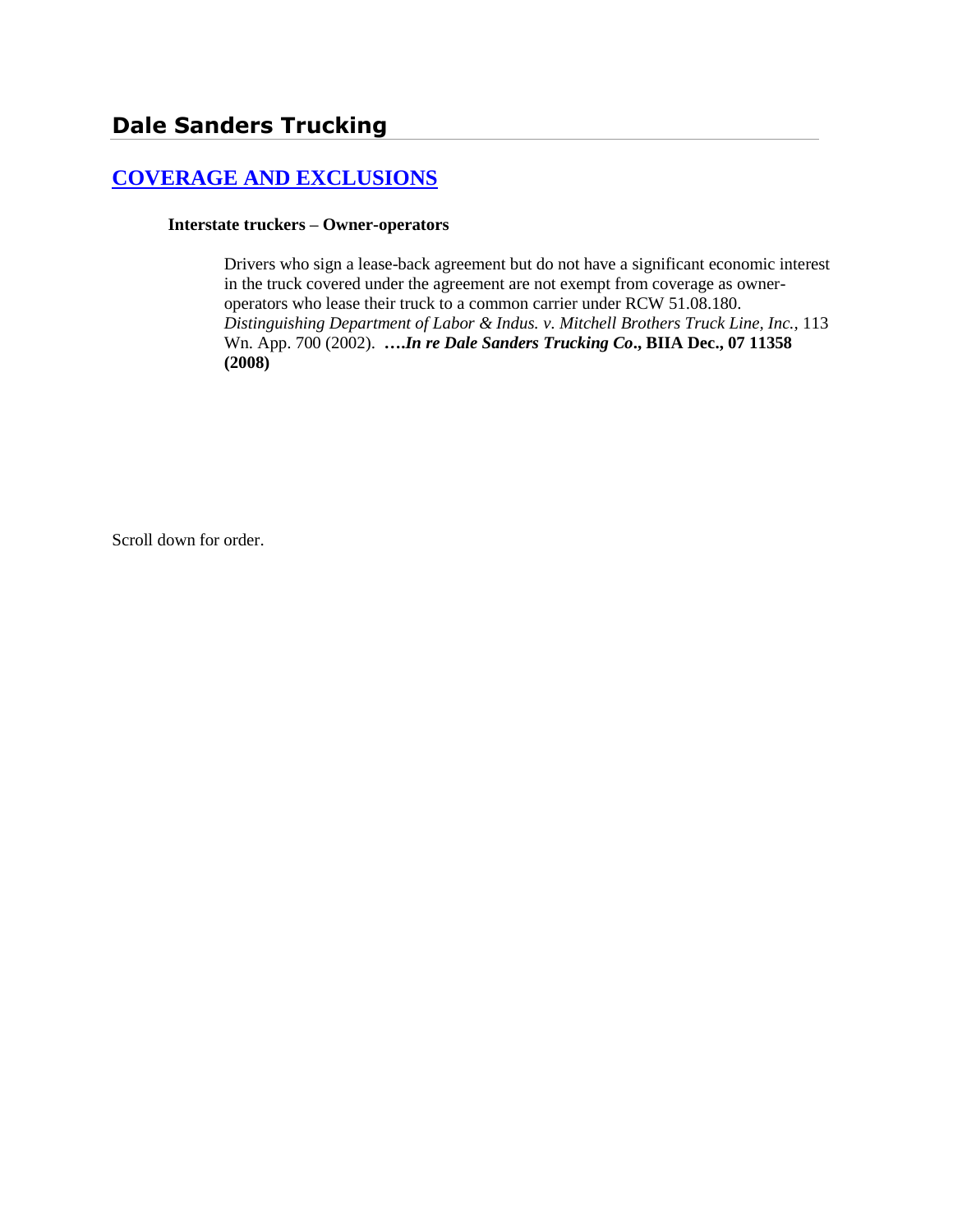# **[COVERAGE AND EXCLUSIONS](http://www.biia.wa.gov/SDSubjectIndex.html#COVERAGE_AND_EXCLUSIONS)**

#### **Interstate truckers – Owner-operators**

Drivers who sign a lease-back agreement but do not have a significant economic interest in the truck covered under the agreement are not exempt from coverage as owneroperators who lease their truck to a common carrier under RCW 51.08.180. *Distinguishing Department of Labor & Indus. v. Mitchell Brothers Truck Line, Inc.,* 113 Wn. App. 700 (2002). **….***In re Dale Sanders Trucking Co***., BIIA Dec., 07 11358 (2008)**

Scroll down for order.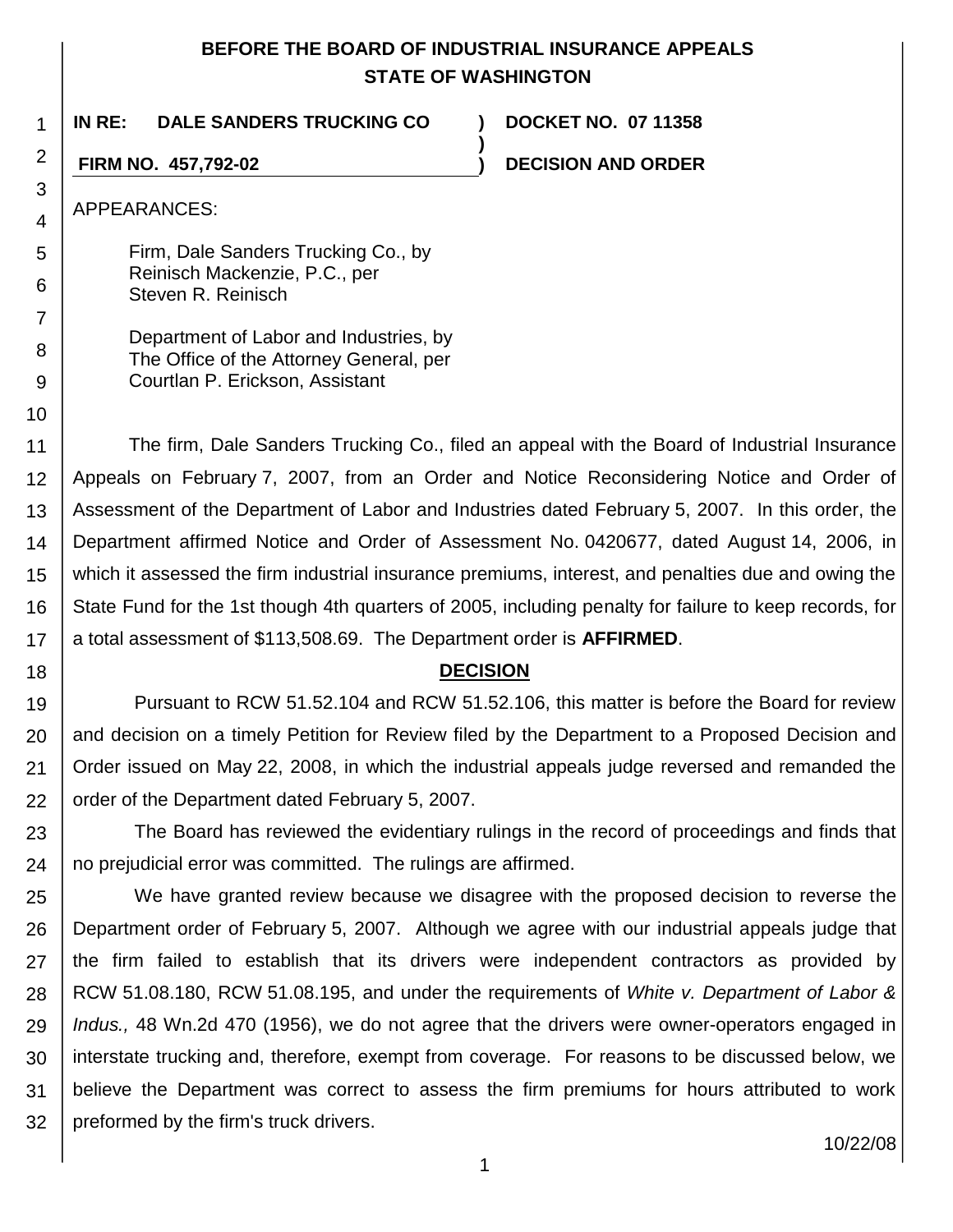## **BEFORE THE BOARD OF INDUSTRIAL INSURANCE APPEALS STATE OF WASHINGTON**

**)**

1 **IN RE: DALE SANDERS TRUCKING CO ) DOCKET NO. 07 11358**

**FIRM NO. 457,792-02 ) DECISION AND ORDER**

APPEARANCES:

2

3 4

5

6

7

8 9

10

18

Firm, Dale Sanders Trucking Co., by Reinisch Mackenzie, P.C., per Steven R. Reinisch

Department of Labor and Industries, by The Office of the Attorney General, per Courtlan P. Erickson, Assistant

11 12 13 14 15 16 17 The firm, Dale Sanders Trucking Co., filed an appeal with the Board of Industrial Insurance Appeals on February 7, 2007, from an Order and Notice Reconsidering Notice and Order of Assessment of the Department of Labor and Industries dated February 5, 2007. In this order, the Department affirmed Notice and Order of Assessment No. 0420677, dated August 14, 2006, in which it assessed the firm industrial insurance premiums, interest, and penalties due and owing the State Fund for the 1st though 4th quarters of 2005, including penalty for failure to keep records, for a total assessment of \$113,508.69. The Department order is **AFFIRMED**.

## **DECISION**

19 20 21 22 Pursuant to RCW 51.52.104 and RCW 51.52.106, this matter is before the Board for review and decision on a timely Petition for Review filed by the Department to a Proposed Decision and Order issued on May 22, 2008, in which the industrial appeals judge reversed and remanded the order of the Department dated February 5, 2007.

23 24 The Board has reviewed the evidentiary rulings in the record of proceedings and finds that no prejudicial error was committed. The rulings are affirmed.

25 26 27 28 29 30 31 32 We have granted review because we disagree with the proposed decision to reverse the Department order of February 5, 2007. Although we agree with our industrial appeals judge that the firm failed to establish that its drivers were independent contractors as provided by RCW 51.08.180, RCW 51.08.195, and under the requirements of *White v. Department of Labor & Indus.,* 48 Wn.2d 470 (1956), we do not agree that the drivers were owner-operators engaged in interstate trucking and, therefore, exempt from coverage. For reasons to be discussed below, we believe the Department was correct to assess the firm premiums for hours attributed to work preformed by the firm's truck drivers.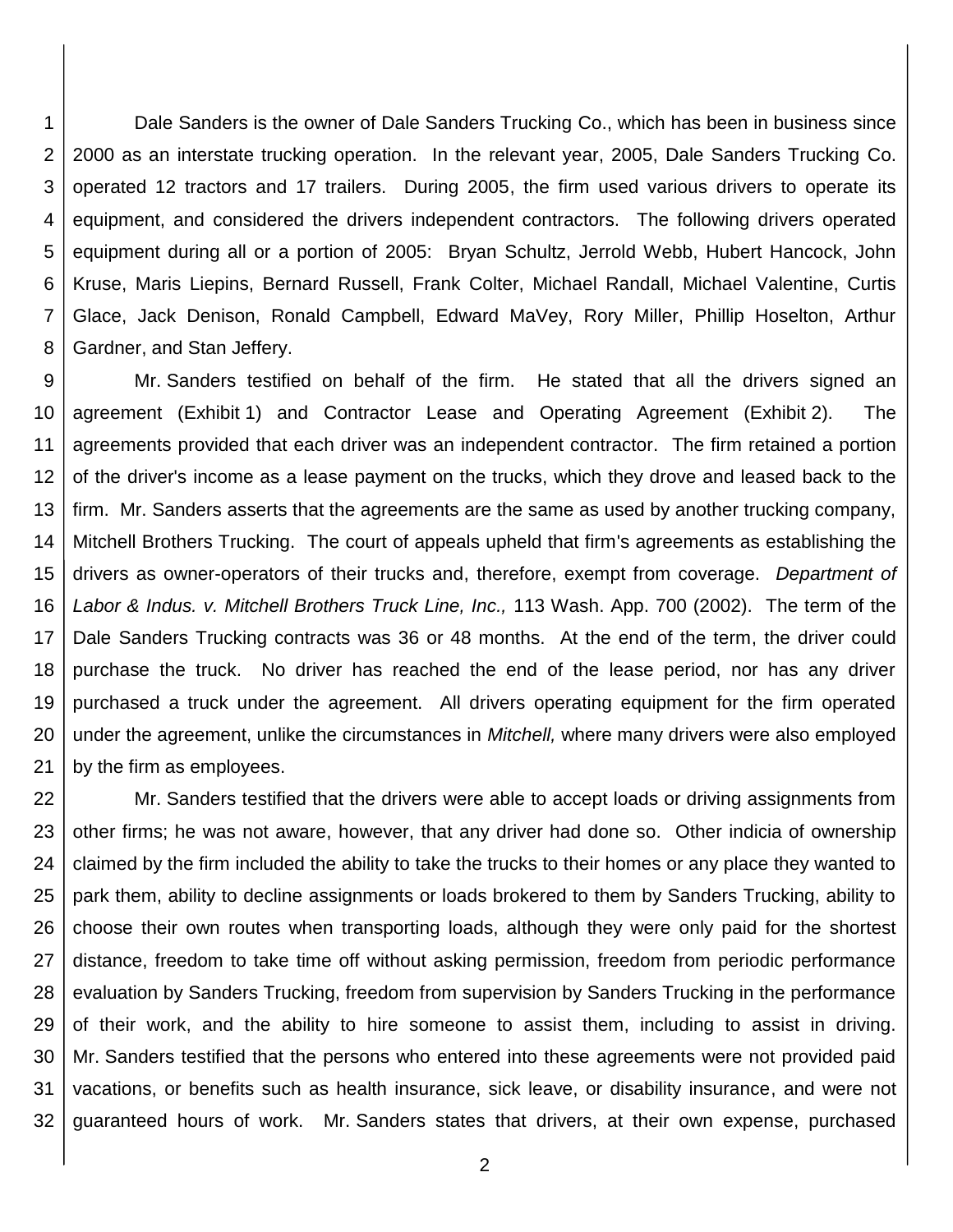1 2 3 4 5 6 7 8 Dale Sanders is the owner of Dale Sanders Trucking Co., which has been in business since 2000 as an interstate trucking operation. In the relevant year, 2005, Dale Sanders Trucking Co. operated 12 tractors and 17 trailers. During 2005, the firm used various drivers to operate its equipment, and considered the drivers independent contractors. The following drivers operated equipment during all or a portion of 2005: Bryan Schultz, Jerrold Webb, Hubert Hancock, John Kruse, Maris Liepins, Bernard Russell, Frank Colter, Michael Randall, Michael Valentine, Curtis Glace, Jack Denison, Ronald Campbell, Edward MaVey, Rory Miller, Phillip Hoselton, Arthur Gardner, and Stan Jeffery.

9 10 11 12 13 14 15 16 17 18 19 20 21 Mr. Sanders testified on behalf of the firm. He stated that all the drivers signed an agreement (Exhibit 1) and Contractor Lease and Operating Agreement (Exhibit 2). The agreements provided that each driver was an independent contractor. The firm retained a portion of the driver's income as a lease payment on the trucks, which they drove and leased back to the firm. Mr. Sanders asserts that the agreements are the same as used by another trucking company, Mitchell Brothers Trucking. The court of appeals upheld that firm's agreements as establishing the drivers as owner-operators of their trucks and, therefore, exempt from coverage. *Department of Labor & Indus. v. Mitchell Brothers Truck Line, Inc.,* 113 Wash. App. 700 (2002). The term of the Dale Sanders Trucking contracts was 36 or 48 months. At the end of the term, the driver could purchase the truck. No driver has reached the end of the lease period, nor has any driver purchased a truck under the agreement. All drivers operating equipment for the firm operated under the agreement, unlike the circumstances in *Mitchell,* where many drivers were also employed by the firm as employees.

22 23 24 25 26 27 28 29 30 31 32 Mr. Sanders testified that the drivers were able to accept loads or driving assignments from other firms; he was not aware, however, that any driver had done so. Other indicia of ownership claimed by the firm included the ability to take the trucks to their homes or any place they wanted to park them, ability to decline assignments or loads brokered to them by Sanders Trucking, ability to choose their own routes when transporting loads, although they were only paid for the shortest distance, freedom to take time off without asking permission, freedom from periodic performance evaluation by Sanders Trucking, freedom from supervision by Sanders Trucking in the performance of their work, and the ability to hire someone to assist them, including to assist in driving. Mr. Sanders testified that the persons who entered into these agreements were not provided paid vacations, or benefits such as health insurance, sick leave, or disability insurance, and were not guaranteed hours of work. Mr. Sanders states that drivers, at their own expense, purchased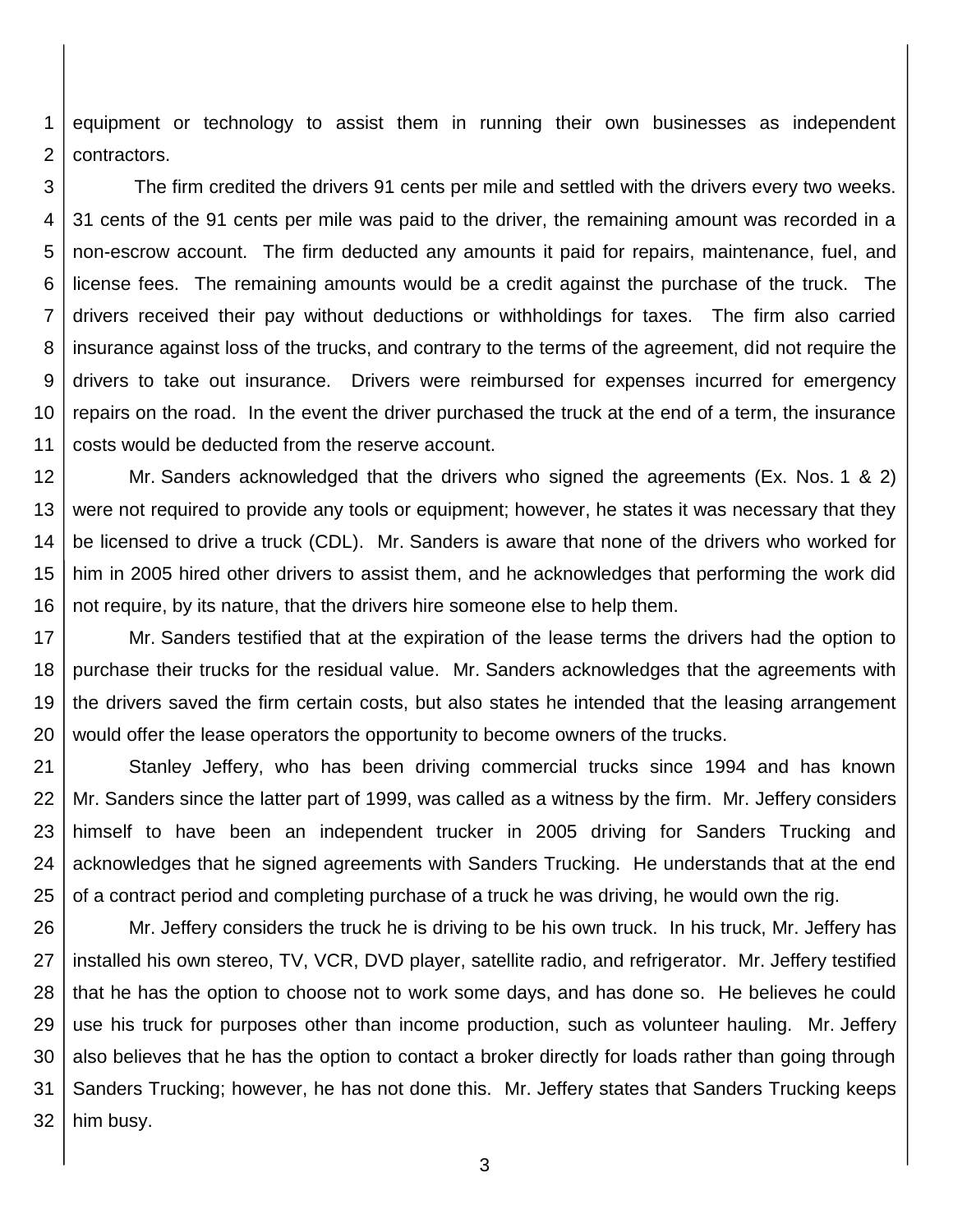1 2 equipment or technology to assist them in running their own businesses as independent contractors.

3 4 5 6 7 8 9 10 11 The firm credited the drivers 91 cents per mile and settled with the drivers every two weeks. 31 cents of the 91 cents per mile was paid to the driver, the remaining amount was recorded in a non-escrow account. The firm deducted any amounts it paid for repairs, maintenance, fuel, and license fees. The remaining amounts would be a credit against the purchase of the truck. The drivers received their pay without deductions or withholdings for taxes. The firm also carried insurance against loss of the trucks, and contrary to the terms of the agreement, did not require the drivers to take out insurance. Drivers were reimbursed for expenses incurred for emergency repairs on the road. In the event the driver purchased the truck at the end of a term, the insurance costs would be deducted from the reserve account.

12 13 14 15 16 Mr. Sanders acknowledged that the drivers who signed the agreements (Ex. Nos. 1 & 2) were not required to provide any tools or equipment; however, he states it was necessary that they be licensed to drive a truck (CDL). Mr. Sanders is aware that none of the drivers who worked for him in 2005 hired other drivers to assist them, and he acknowledges that performing the work did not require, by its nature, that the drivers hire someone else to help them.

17 18 19 20 Mr. Sanders testified that at the expiration of the lease terms the drivers had the option to purchase their trucks for the residual value. Mr. Sanders acknowledges that the agreements with the drivers saved the firm certain costs, but also states he intended that the leasing arrangement would offer the lease operators the opportunity to become owners of the trucks.

21 22 23 24 25 Stanley Jeffery, who has been driving commercial trucks since 1994 and has known Mr. Sanders since the latter part of 1999, was called as a witness by the firm. Mr. Jeffery considers himself to have been an independent trucker in 2005 driving for Sanders Trucking and acknowledges that he signed agreements with Sanders Trucking. He understands that at the end of a contract period and completing purchase of a truck he was driving, he would own the rig.

26 27 28 29 30 31 32 Mr. Jeffery considers the truck he is driving to be his own truck. In his truck, Mr. Jeffery has installed his own stereo, TV, VCR, DVD player, satellite radio, and refrigerator. Mr. Jeffery testified that he has the option to choose not to work some days, and has done so. He believes he could use his truck for purposes other than income production, such as volunteer hauling. Mr. Jeffery also believes that he has the option to contact a broker directly for loads rather than going through Sanders Trucking; however, he has not done this. Mr. Jeffery states that Sanders Trucking keeps him busy.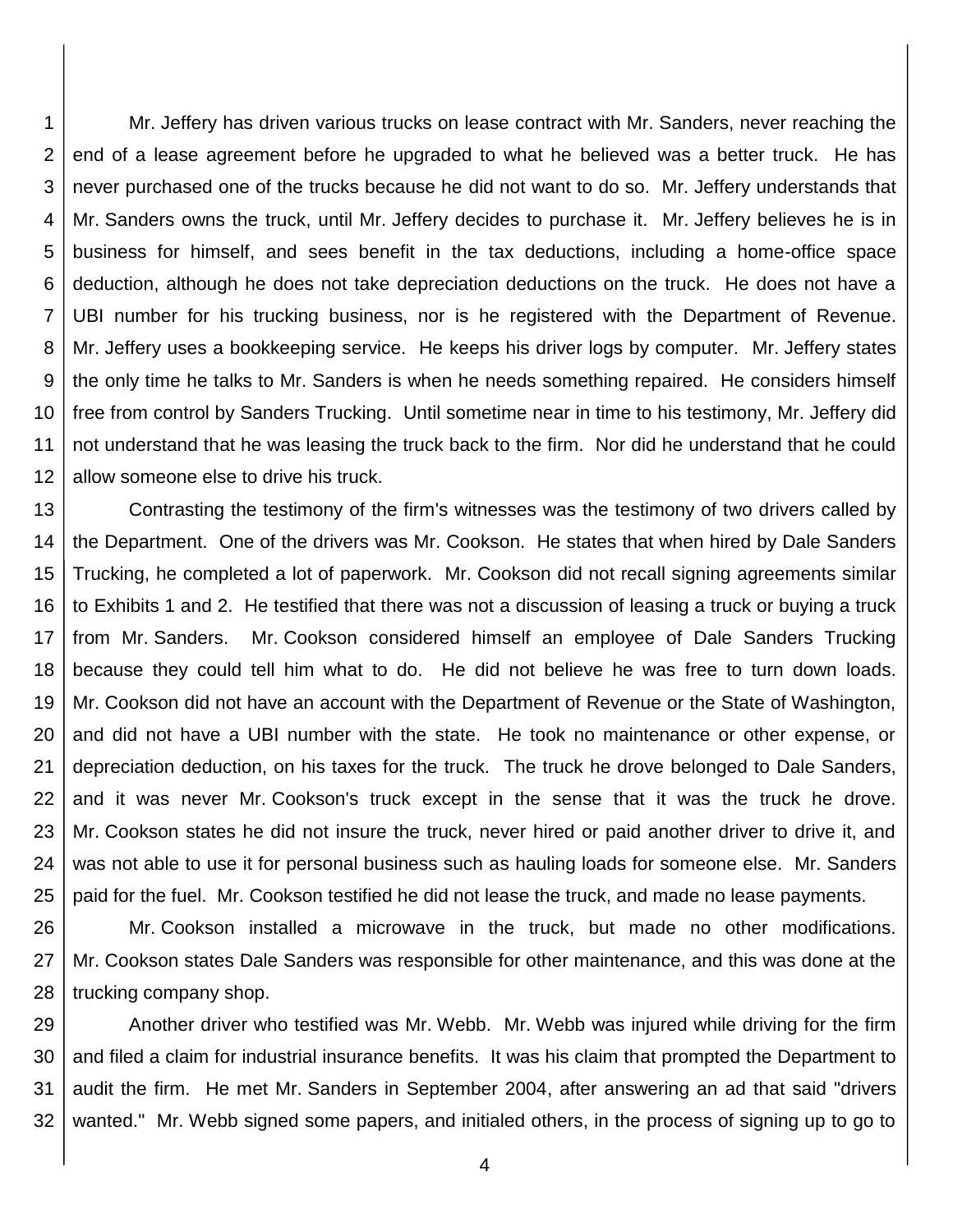1 2 3 4 5 6 7 8 9 10 11 12 Mr. Jeffery has driven various trucks on lease contract with Mr. Sanders, never reaching the end of a lease agreement before he upgraded to what he believed was a better truck. He has never purchased one of the trucks because he did not want to do so. Mr. Jeffery understands that Mr. Sanders owns the truck, until Mr. Jeffery decides to purchase it. Mr. Jeffery believes he is in business for himself, and sees benefit in the tax deductions, including a home-office space deduction, although he does not take depreciation deductions on the truck. He does not have a UBI number for his trucking business, nor is he registered with the Department of Revenue. Mr. Jeffery uses a bookkeeping service. He keeps his driver logs by computer. Mr. Jeffery states the only time he talks to Mr. Sanders is when he needs something repaired. He considers himself free from control by Sanders Trucking. Until sometime near in time to his testimony, Mr. Jeffery did not understand that he was leasing the truck back to the firm. Nor did he understand that he could allow someone else to drive his truck.

13 14 15 16 17 18 19 20 21 22 23 24 25 Contrasting the testimony of the firm's witnesses was the testimony of two drivers called by the Department. One of the drivers was Mr. Cookson. He states that when hired by Dale Sanders Trucking, he completed a lot of paperwork. Mr. Cookson did not recall signing agreements similar to Exhibits 1 and 2. He testified that there was not a discussion of leasing a truck or buying a truck from Mr. Sanders. Mr. Cookson considered himself an employee of Dale Sanders Trucking because they could tell him what to do. He did not believe he was free to turn down loads. Mr. Cookson did not have an account with the Department of Revenue or the State of Washington, and did not have a UBI number with the state. He took no maintenance or other expense, or depreciation deduction, on his taxes for the truck. The truck he drove belonged to Dale Sanders, and it was never Mr. Cookson's truck except in the sense that it was the truck he drove. Mr. Cookson states he did not insure the truck, never hired or paid another driver to drive it, and was not able to use it for personal business such as hauling loads for someone else. Mr. Sanders paid for the fuel. Mr. Cookson testified he did not lease the truck, and made no lease payments.

26 27 28 Mr. Cookson installed a microwave in the truck, but made no other modifications. Mr. Cookson states Dale Sanders was responsible for other maintenance, and this was done at the trucking company shop.

29 30 31 32 Another driver who testified was Mr. Webb. Mr. Webb was injured while driving for the firm and filed a claim for industrial insurance benefits. It was his claim that prompted the Department to audit the firm. He met Mr. Sanders in September 2004, after answering an ad that said "drivers wanted." Mr. Webb signed some papers, and initialed others, in the process of signing up to go to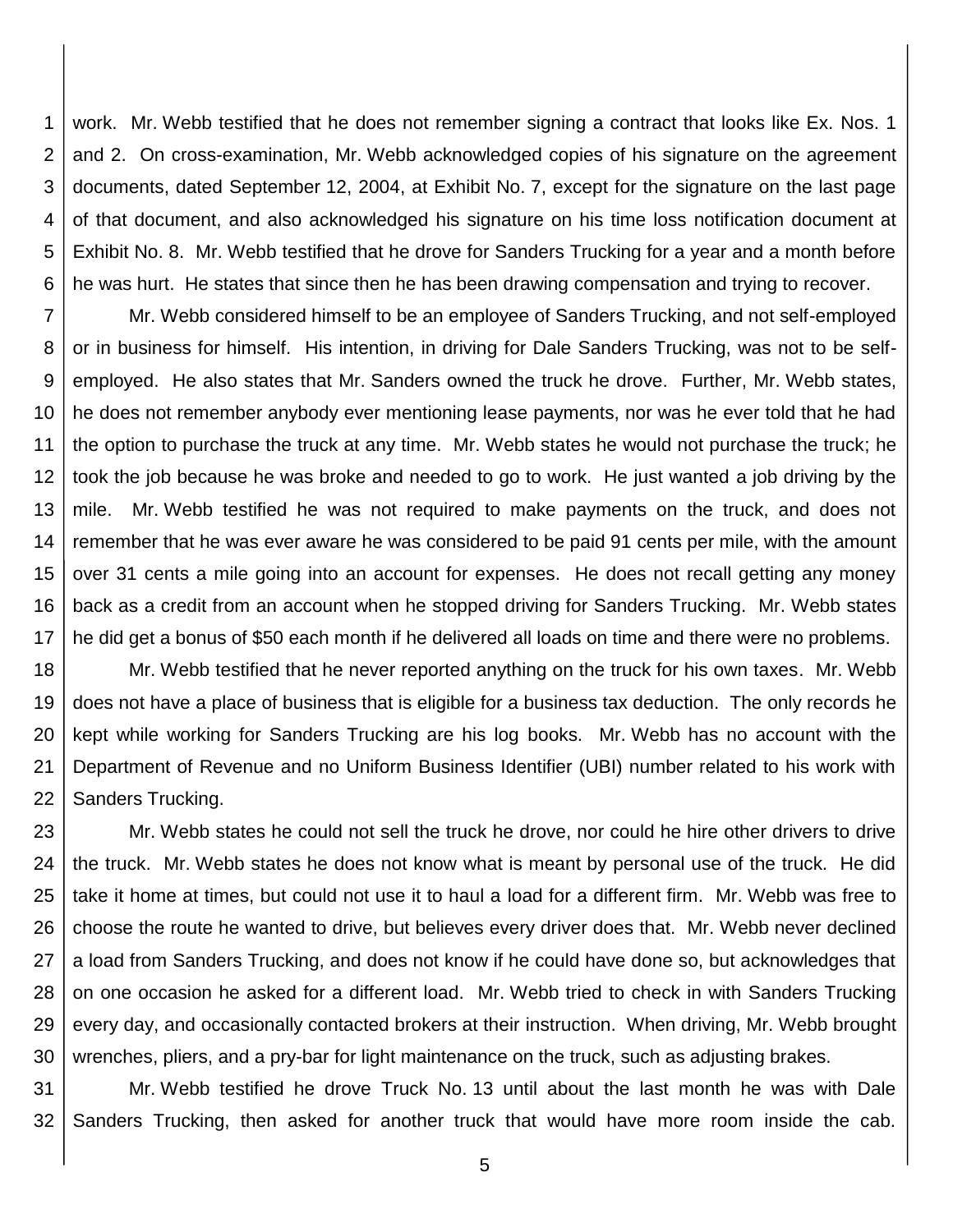1 2 3 4 5 6 work. Mr. Webb testified that he does not remember signing a contract that looks like Ex. Nos. 1 and 2. On cross-examination, Mr. Webb acknowledged copies of his signature on the agreement documents, dated September 12, 2004, at Exhibit No. 7, except for the signature on the last page of that document, and also acknowledged his signature on his time loss notification document at Exhibit No. 8. Mr. Webb testified that he drove for Sanders Trucking for a year and a month before he was hurt. He states that since then he has been drawing compensation and trying to recover.

7 8 9 10 11 12 13 14 15 16 17 Mr. Webb considered himself to be an employee of Sanders Trucking, and not self-employed or in business for himself. His intention, in driving for Dale Sanders Trucking, was not to be selfemployed. He also states that Mr. Sanders owned the truck he drove. Further, Mr. Webb states, he does not remember anybody ever mentioning lease payments, nor was he ever told that he had the option to purchase the truck at any time. Mr. Webb states he would not purchase the truck; he took the job because he was broke and needed to go to work. He just wanted a job driving by the mile. Mr. Webb testified he was not required to make payments on the truck, and does not remember that he was ever aware he was considered to be paid 91 cents per mile, with the amount over 31 cents a mile going into an account for expenses. He does not recall getting any money back as a credit from an account when he stopped driving for Sanders Trucking. Mr. Webb states he did get a bonus of \$50 each month if he delivered all loads on time and there were no problems.

18 19 20 21 22 Mr. Webb testified that he never reported anything on the truck for his own taxes. Mr. Webb does not have a place of business that is eligible for a business tax deduction. The only records he kept while working for Sanders Trucking are his log books. Mr. Webb has no account with the Department of Revenue and no Uniform Business Identifier (UBI) number related to his work with Sanders Trucking.

23 24 25 26 27 28 29 30 Mr. Webb states he could not sell the truck he drove, nor could he hire other drivers to drive the truck. Mr. Webb states he does not know what is meant by personal use of the truck. He did take it home at times, but could not use it to haul a load for a different firm. Mr. Webb was free to choose the route he wanted to drive, but believes every driver does that. Mr. Webb never declined a load from Sanders Trucking, and does not know if he could have done so, but acknowledges that on one occasion he asked for a different load. Mr. Webb tried to check in with Sanders Trucking every day, and occasionally contacted brokers at their instruction. When driving, Mr. Webb brought wrenches, pliers, and a pry-bar for light maintenance on the truck, such as adjusting brakes.

31 32 Mr. Webb testified he drove Truck No. 13 until about the last month he was with Dale Sanders Trucking, then asked for another truck that would have more room inside the cab.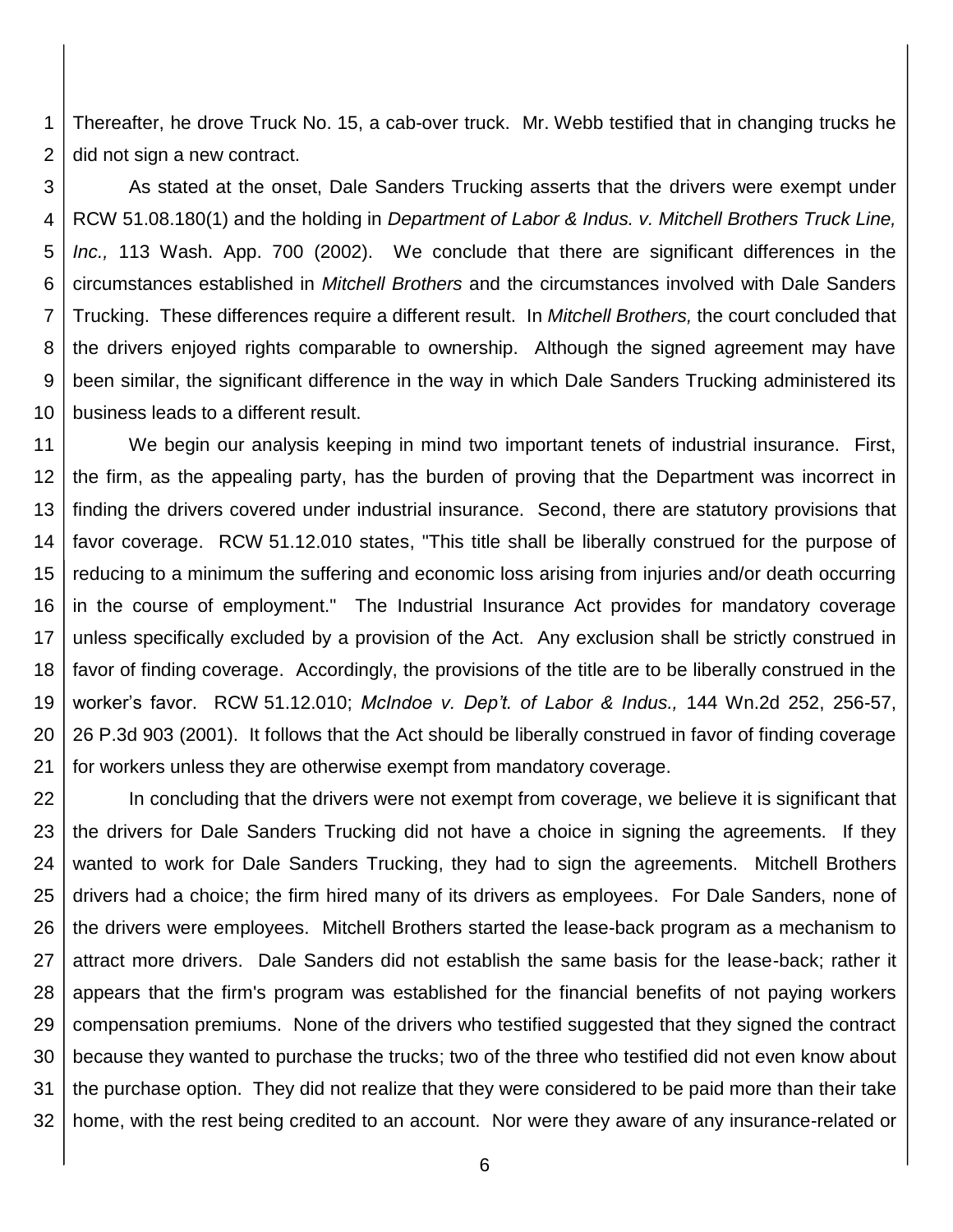1 2 Thereafter, he drove Truck No. 15, a cab-over truck. Mr. Webb testified that in changing trucks he did not sign a new contract.

3 4 5 6 7 8 9 10 As stated at the onset, Dale Sanders Trucking asserts that the drivers were exempt under RCW 51.08.180(1) and the holding in *Department of Labor & Indus. v. Mitchell Brothers Truck Line, Inc.,* 113 Wash. App. 700 (2002). We conclude that there are significant differences in the circumstances established in *Mitchell Brothers* and the circumstances involved with Dale Sanders Trucking. These differences require a different result. In *Mitchell Brothers,* the court concluded that the drivers enjoyed rights comparable to ownership. Although the signed agreement may have been similar, the significant difference in the way in which Dale Sanders Trucking administered its business leads to a different result.

11 12 13 14 15 16 17 18 19 20 21 We begin our analysis keeping in mind two important tenets of industrial insurance. First, the firm, as the appealing party, has the burden of proving that the Department was incorrect in finding the drivers covered under industrial insurance. Second, there are statutory provisions that favor coverage. RCW 51.12.010 states, "This title shall be liberally construed for the purpose of reducing to a minimum the suffering and economic loss arising from injuries and/or death occurring in the course of employment." The Industrial Insurance Act provides for mandatory coverage unless specifically excluded by a provision of the Act. Any exclusion shall be strictly construed in favor of finding coverage. Accordingly, the provisions of the title are to be liberally construed in the worker's favor. RCW [51.12.010;](https://www.lexis.com/research/buttonTFLink?_m=d944bcfd14e1e6ececeac3fb3645e17c&_xfercite=%3ccite%20cc%3d%22USA%22%3e%3c%21%5bCDATA%5b144%20Wn.%20App.%201%5d%5d%3e%3c%2fcite%3e&_butType=4&_butStat=0&_butNum=83&_butInline=1&_butinfo=WASH.%20REV.%20CODE%2051.12.010&_fmtstr=FULL&docnum=4&_startdoc=1&wchp=dGLzVtz-zSkAB&_md5=f18ab001ebf0fa24a764679898031fef) *McIndoe v. Dep't. of Labor & Indus.,* 144 Wn.2d 252, 256-57, 26 P.3d 903 (2001). It follows that the Act should be liberally construed in favor of finding coverage for workers unless they are otherwise exempt from mandatory coverage.

22 23 24 25 26 27 28 29 30 31 32 In concluding that the drivers were not exempt from coverage, we believe it is significant that the drivers for Dale Sanders Trucking did not have a choice in signing the agreements. If they wanted to work for Dale Sanders Trucking, they had to sign the agreements. Mitchell Brothers drivers had a choice; the firm hired many of its drivers as employees. For Dale Sanders, none of the drivers were employees. Mitchell Brothers started the lease-back program as a mechanism to attract more drivers. Dale Sanders did not establish the same basis for the lease-back; rather it appears that the firm's program was established for the financial benefits of not paying workers compensation premiums. None of the drivers who testified suggested that they signed the contract because they wanted to purchase the trucks; two of the three who testified did not even know about the purchase option. They did not realize that they were considered to be paid more than their take home, with the rest being credited to an account. Nor were they aware of any insurance-related or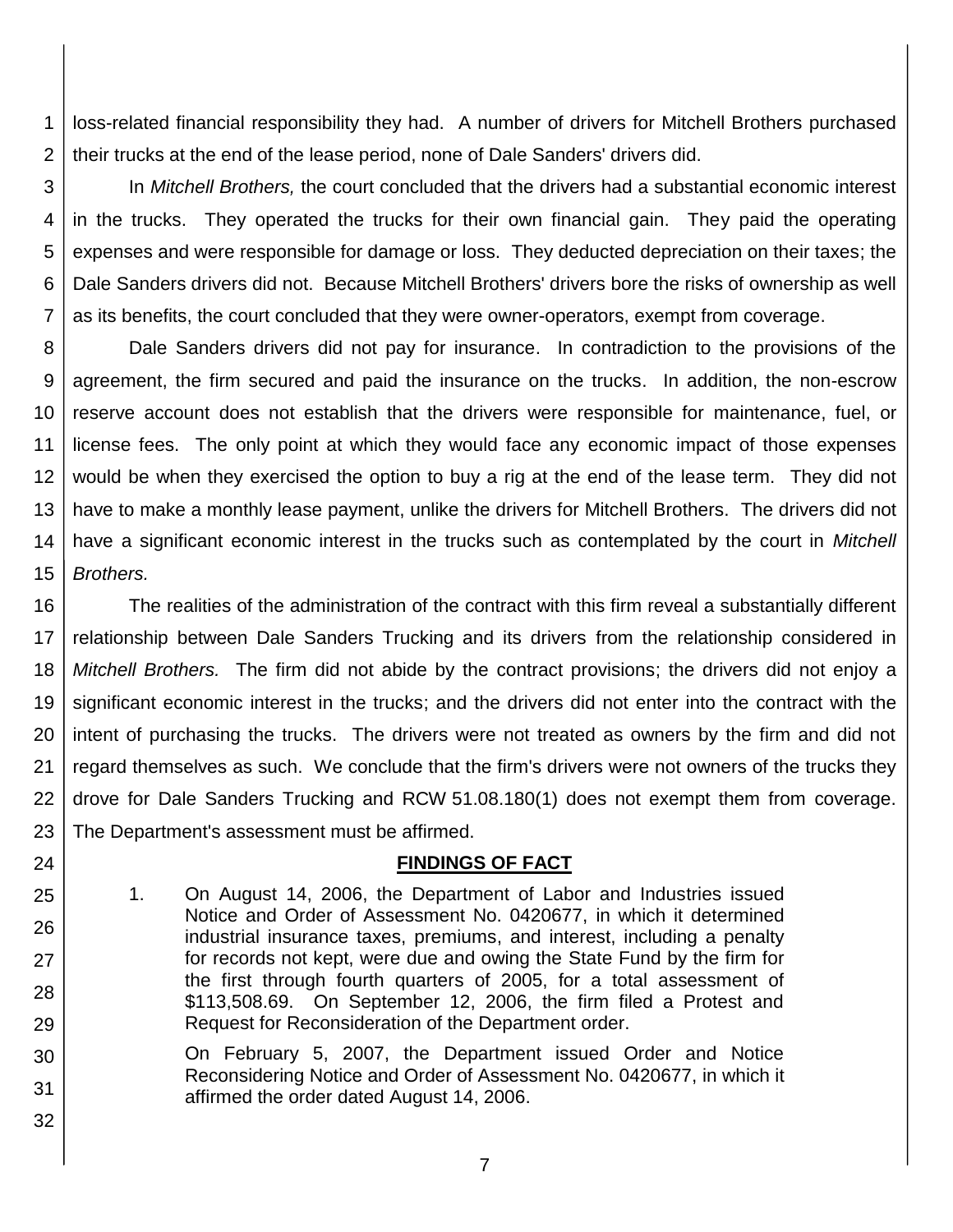1 2 loss-related financial responsibility they had. A number of drivers for Mitchell Brothers purchased their trucks at the end of the lease period, none of Dale Sanders' drivers did.

3 4 5 6 7 In *Mitchell Brothers,* the court concluded that the drivers had a substantial economic interest in the trucks. They operated the trucks for their own financial gain. They paid the operating expenses and were responsible for damage or loss. They deducted depreciation on their taxes; the Dale Sanders drivers did not. Because Mitchell Brothers' drivers bore the risks of ownership as well as its benefits, the court concluded that they were owner-operators, exempt from coverage.

8 9 10 11 12 13 14 15 Dale Sanders drivers did not pay for insurance. In contradiction to the provisions of the agreement, the firm secured and paid the insurance on the trucks. In addition, the non-escrow reserve account does not establish that the drivers were responsible for maintenance, fuel, or license fees. The only point at which they would face any economic impact of those expenses would be when they exercised the option to buy a rig at the end of the lease term. They did not have to make a monthly lease payment, unlike the drivers for Mitchell Brothers. The drivers did not have a significant economic interest in the trucks such as contemplated by the court in *Mitchell Brothers.*

16 17 18 19 20 21 22 23 The realities of the administration of the contract with this firm reveal a substantially different relationship between Dale Sanders Trucking and its drivers from the relationship considered in *Mitchell Brothers.* The firm did not abide by the contract provisions; the drivers did not enjoy a significant economic interest in the trucks; and the drivers did not enter into the contract with the intent of purchasing the trucks. The drivers were not treated as owners by the firm and did not regard themselves as such. We conclude that the firm's drivers were not owners of the trucks they drove for Dale Sanders Trucking and RCW 51.08.180(1) does not exempt them from coverage. The Department's assessment must be affirmed.

## **FINDINGS OF FACT**

1. On August 14, 2006, the Department of Labor and Industries issued Notice and Order of Assessment No. 0420677, in which it determined industrial insurance taxes, premiums, and interest, including a penalty for records not kept, were due and owing the State Fund by the firm for the first through fourth quarters of 2005, for a total assessment of \$113,508.69. On September 12, 2006, the firm filed a Protest and Request for Reconsideration of the Department order.

24

25

26

27

28

29

- 30 31 On February 5, 2007, the Department issued Order and Notice Reconsidering Notice and Order of Assessment No. 0420677, in which it affirmed the order dated August 14, 2006.
	- 7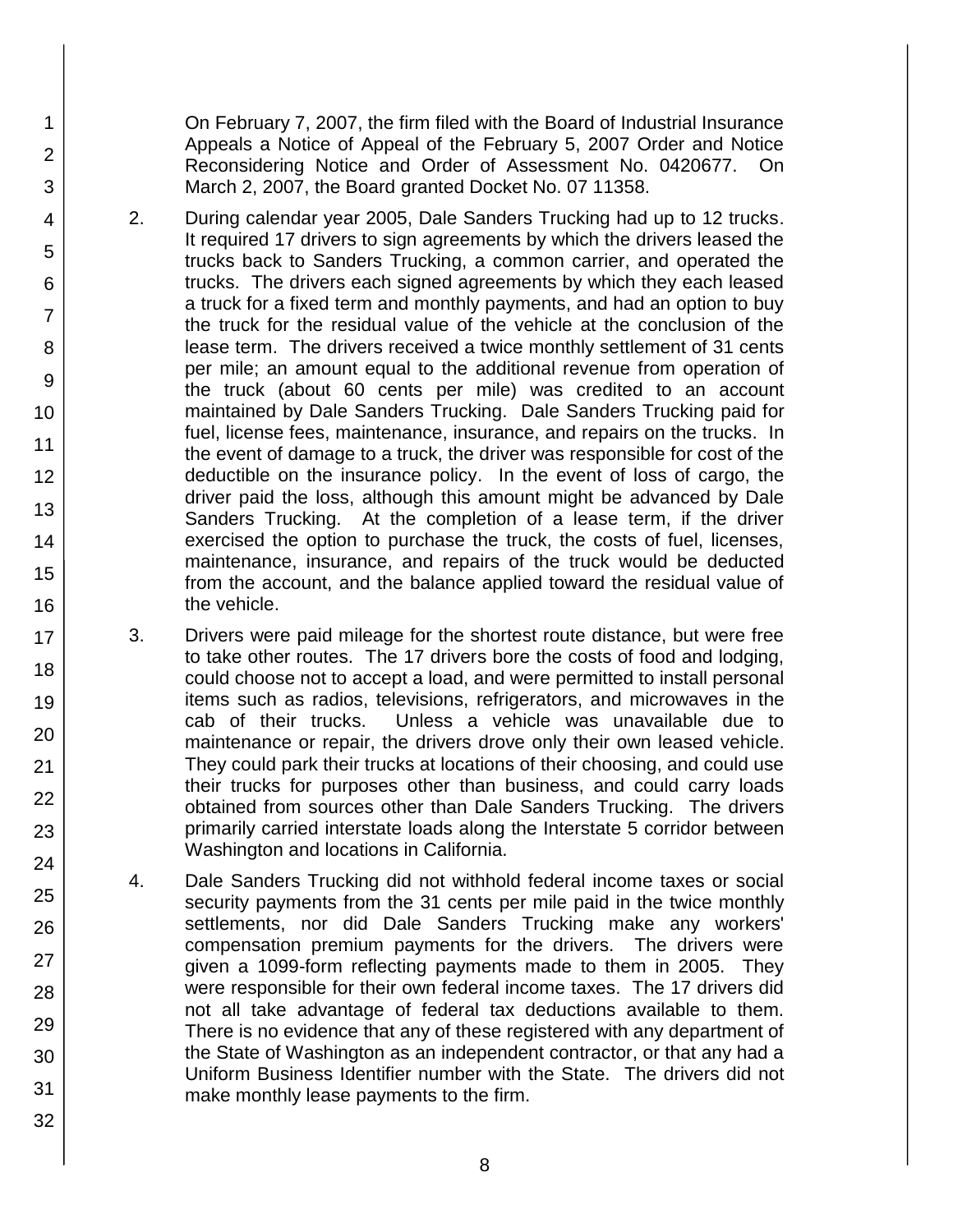On February 7, 2007, the firm filed with the Board of Industrial Insurance Appeals a Notice of Appeal of the February 5, 2007 Order and Notice Reconsidering Notice and Order of Assessment No. 0420677. On March 2, 2007, the Board granted Docket No. 07 11358.

- 2. During calendar year 2005, Dale Sanders Trucking had up to 12 trucks. It required 17 drivers to sign agreements by which the drivers leased the trucks back to Sanders Trucking, a common carrier, and operated the trucks. The drivers each signed agreements by which they each leased a truck for a fixed term and monthly payments, and had an option to buy the truck for the residual value of the vehicle at the conclusion of the lease term. The drivers received a twice monthly settlement of 31 cents per mile; an amount equal to the additional revenue from operation of the truck (about 60 cents per mile) was credited to an account maintained by Dale Sanders Trucking. Dale Sanders Trucking paid for fuel, license fees, maintenance, insurance, and repairs on the trucks. In the event of damage to a truck, the driver was responsible for cost of the deductible on the insurance policy. In the event of loss of cargo, the driver paid the loss, although this amount might be advanced by Dale Sanders Trucking. At the completion of a lease term, if the driver exercised the option to purchase the truck, the costs of fuel, licenses, maintenance, insurance, and repairs of the truck would be deducted from the account, and the balance applied toward the residual value of the vehicle.
	- 3. Drivers were paid mileage for the shortest route distance, but were free to take other routes. The 17 drivers bore the costs of food and lodging, could choose not to accept a load, and were permitted to install personal items such as radios, televisions, refrigerators, and microwaves in the cab of their trucks. Unless a vehicle was unavailable due to maintenance or repair, the drivers drove only their own leased vehicle. They could park their trucks at locations of their choosing, and could use their trucks for purposes other than business, and could carry loads obtained from sources other than Dale Sanders Trucking. The drivers primarily carried interstate loads along the Interstate 5 corridor between Washington and locations in California.
- 4. Dale Sanders Trucking did not withhold federal income taxes or social security payments from the 31 cents per mile paid in the twice monthly settlements, nor did Dale Sanders Trucking make any workers' compensation premium payments for the drivers. The drivers were given a 1099-form reflecting payments made to them in 2005. They were responsible for their own federal income taxes. The 17 drivers did not all take advantage of federal tax deductions available to them. There is no evidence that any of these registered with any department of the State of Washington as an independent contractor, or that any had a Uniform Business Identifier number with the State. The drivers did not make monthly lease payments to the firm.
- 5 6 7 8 9 10 11 12 13 14 15 16 17 18 19 20 21 22 23 24 25 26 27 28 29 30 31

32

1

2

3